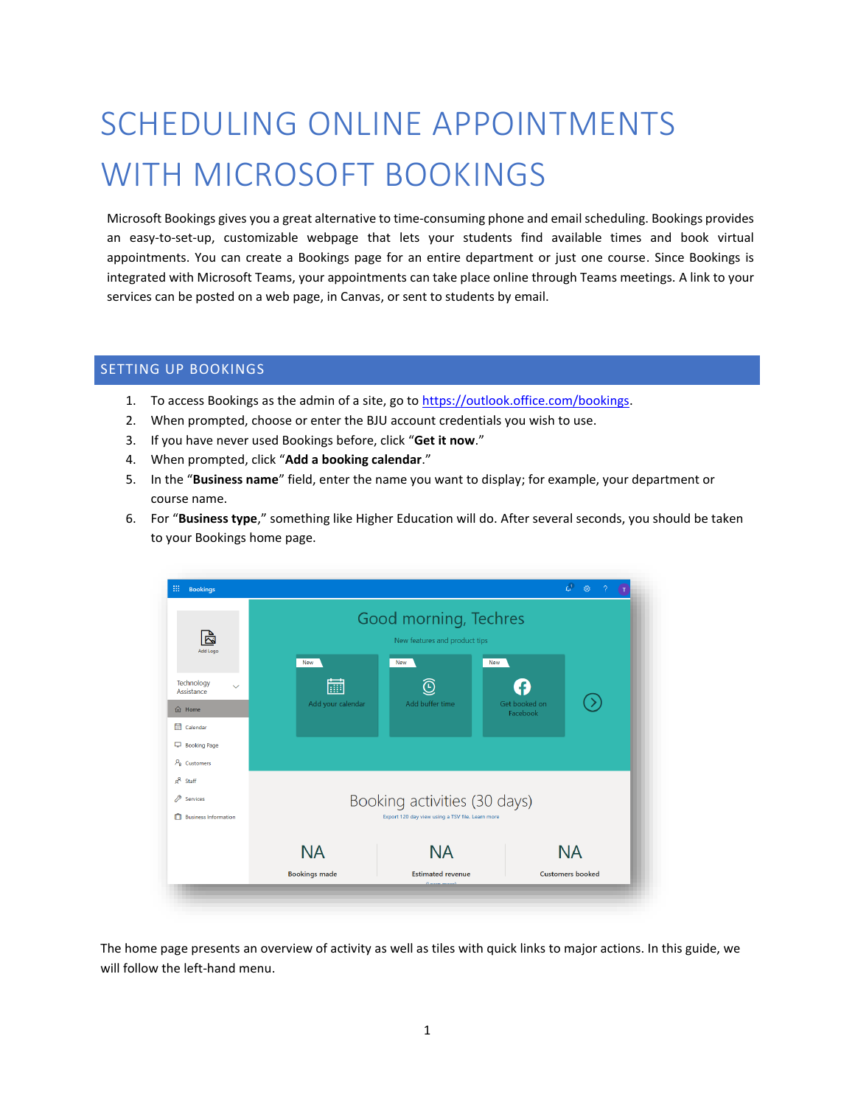# SCHEDULING ONLINE APPOINTMENTS WITH MICROSOFT BOOKINGS

Microsoft Bookings gives you a great alternative to time-consuming phone and email scheduling. Bookings provides an easy-to-set-up, customizable webpage that lets your students find available times and book virtual appointments. You can create a Bookings page for an entire department or just one course. Since Bookings is integrated with Microsoft Teams, your appointments can take place online through Teams meetings. A link to your services can be posted on a web page, in Canvas, or sent to students by email.

# SETTING UP BOOKINGS

- 1. To access Bookings as the admin of a site, go t[o https://outlook.office.com/bookings.](https://outlook.office.com/bookings)
- 2. When prompted, choose or enter the BJU account credentials you wish to use.
- 3. If you have never used Bookings before, click "**Get it now**."
- 4. When prompted, click "**Add a booking calendar**."
- 5. In the "**Business name**" field, enter the name you want to display; for example, your department or course name.
- 6. For "**Business type**," something like Higher Education will do. After several seconds, you should be taken to your Bookings home page.



The home page presents an overview of activity as well as tiles with quick links to major actions. In this guide, we will follow the left-hand menu.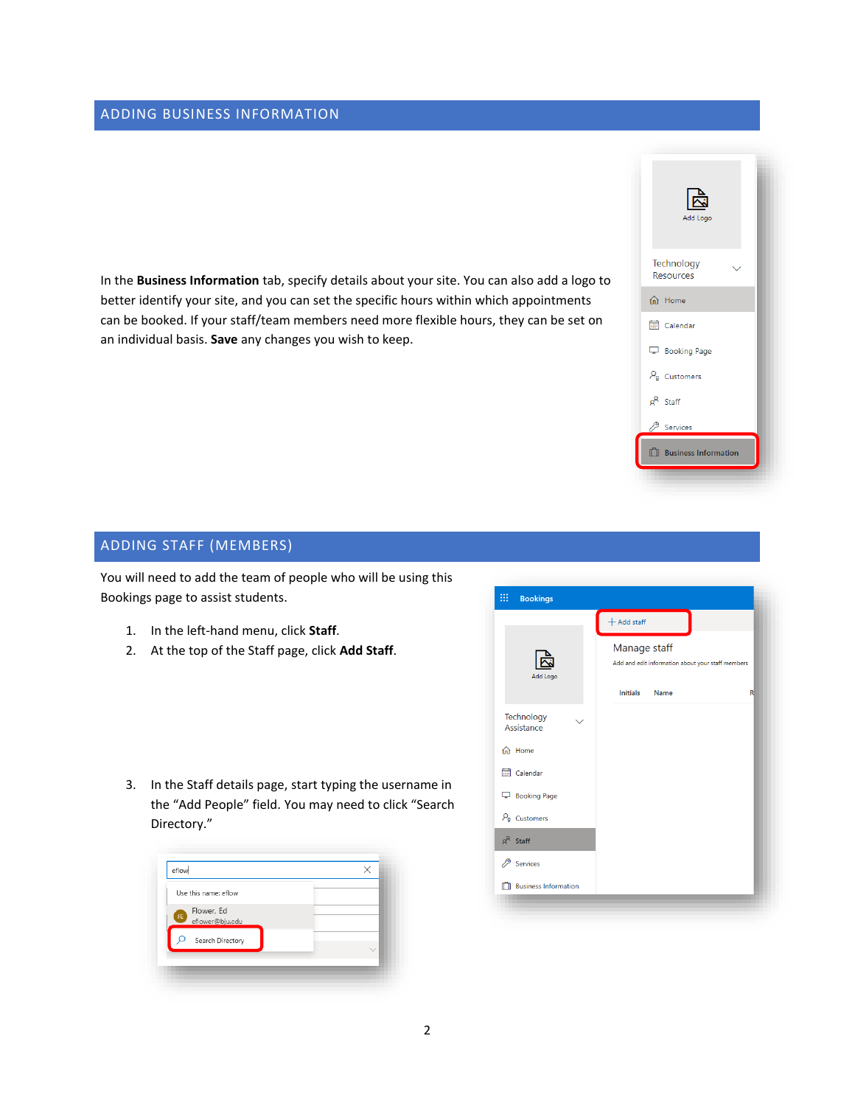# ADDING BUSINESS INFORMATION

In the **Business Information** tab, specify details about your site. You can also add a logo to better identify your site, and you can set the specific hours within which appointments can be booked. If your staff/team members need more flexible hours, they can be set on an individual basis. **Save** any changes you wish to keep.



# ADDING STAFF (MEMBERS)

You will need to add the team of people who will be using this Bookings page to assist students.

- 1. In the left-hand menu, click **Staff**.
- 2. At the top of the Staff page, click **Add Staff**.

3. In the Staff details page, start typing the username in the "Add People" field. You may need to click "Search Directory."



|                                   | $+$ Add staff                                                                                |              |
|-----------------------------------|----------------------------------------------------------------------------------------------|--------------|
| Add Logo                          | Manage staff<br>Add and edit information about your staff members<br><b>Initials</b><br>Name | $\mathsf{R}$ |
| Technology<br>Assistance          |                                                                                              |              |
| n Home                            |                                                                                              |              |
| <b>THE</b> Calendar               |                                                                                              |              |
| Booking Page                      |                                                                                              |              |
| $P_{\mathbf{g}}$ Customers        |                                                                                              |              |
| $g^R$ Staff                       |                                                                                              |              |
| Services                          |                                                                                              |              |
| <sup>1</sup> Business Information |                                                                                              |              |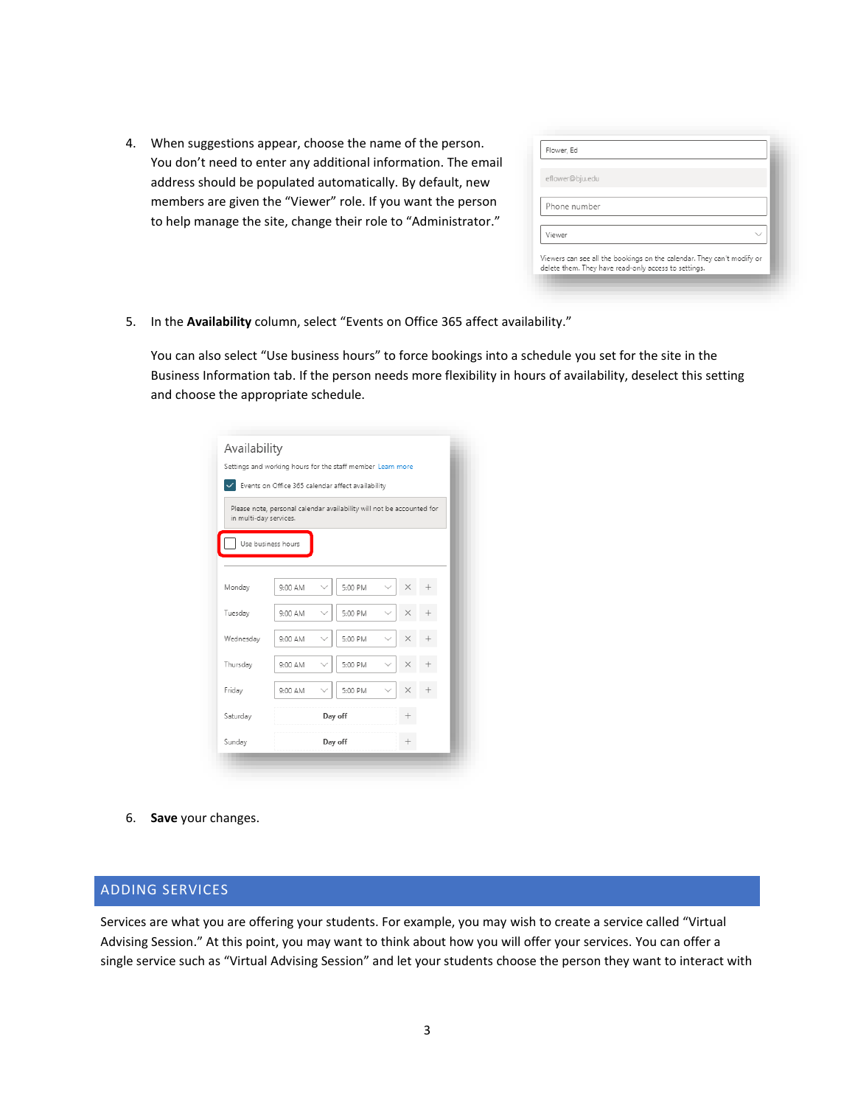4. When suggestions appear, choose the name of the person. You don't need to enter any additional information. The email address should be populated automatically. By default, new members are given the "Viewer" role. If you want the person to help manage the site, change their role to "Administrator."

| eflower@bju.edu |  |
|-----------------|--|
| Phone number    |  |
|                 |  |
| Viewer          |  |

5. In the **Availability** column, select "Events on Office 365 affect availability."

You can also select "Use business hours" to force bookings into a schedule you set for the site in the Business Information tab. If the person needs more flexibility in hours of availability, deselect this setting and choose the appropriate schedule.

|                        | Settings and working hours for the staff member Learn more            |                                                     |         |  |   |  |  |  |  |
|------------------------|-----------------------------------------------------------------------|-----------------------------------------------------|---------|--|---|--|--|--|--|
|                        |                                                                       | V Events on Office 365 calendar affect availability |         |  |   |  |  |  |  |
| in multi-day services. | Please note, personal calendar availability will not be accounted for |                                                     |         |  |   |  |  |  |  |
|                        | Use business hours                                                    |                                                     |         |  |   |  |  |  |  |
|                        |                                                                       |                                                     |         |  |   |  |  |  |  |
| Monday                 | 9:00 AM                                                               |                                                     | 5:00 PM |  |   |  |  |  |  |
| Tuesday                | 9:00 AM                                                               |                                                     | 5:00 PM |  |   |  |  |  |  |
| Wednesday              | 9:00 AM                                                               |                                                     | 5:00 PM |  |   |  |  |  |  |
| Thursday               | 9:00 AM                                                               |                                                     | 5:00 PM |  |   |  |  |  |  |
| Friday                 | 9:00 AM                                                               |                                                     | 5:00 PM |  | × |  |  |  |  |
| Saturday               |                                                                       |                                                     | Day off |  |   |  |  |  |  |
| Sunday                 |                                                                       |                                                     | Day off |  |   |  |  |  |  |

6. **Save** your changes.

#### ADDING SERVICES

Services are what you are offering your students. For example, you may wish to create a service called "Virtual Advising Session." At this point, you may want to think about how you will offer your services. You can offer a single service such as "Virtual Advising Session" and let your students choose the person they want to interact with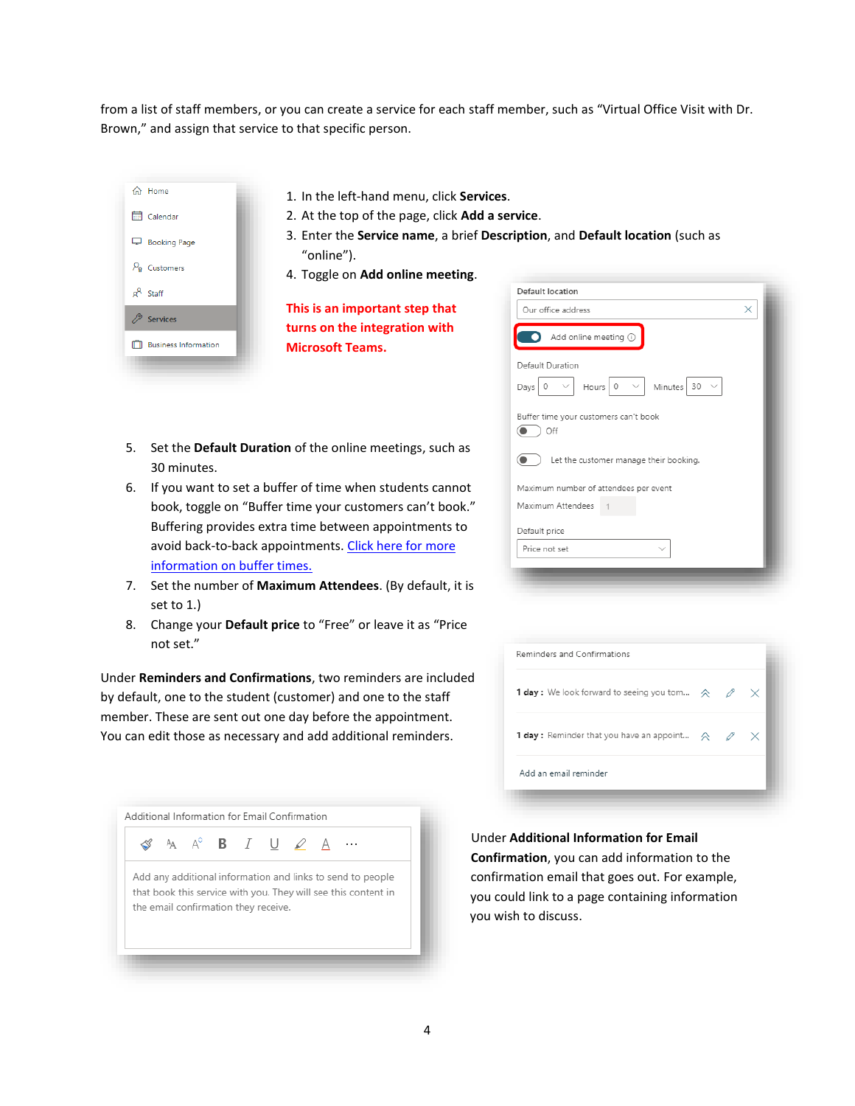from a list of staff members, or you can create a service for each staff member, such as "Virtual Office Visit with Dr. Brown," and assign that service to that specific person.



- 1. In the left-hand menu, click **Services**.
- 2. At the top of the page, click **Add a service**.
- 3. Enter the **Service name**, a brief **Description**, and **Default location** (such as "online").
- 4. Toggle on **Add online meeting**.

**This is an important step that turns on the integration with Microsoft Teams.**

- 5. Set the **Default Duration** of the online meetings, such as 30 minutes.
- 6. If you want to set a buffer of time when students cannot book, toggle on "Buffer time your customers can't book." Buffering provides extra time between appointments to avoid back-to-back appointments. [Click here for more](https://support.microsoft.com/en-us/office/set-buffer-time-in-microsoft-bookings-271f43e4-b8f7-4d63-8059-b5747679bb7e?ui=en-us&rs=en-us&ad=us)  [information on buffer times.](https://support.microsoft.com/en-us/office/set-buffer-time-in-microsoft-bookings-271f43e4-b8f7-4d63-8059-b5747679bb7e?ui=en-us&rs=en-us&ad=us)
- 7. Set the number of **Maximum Attendees**. (By default, it is set to 1.)
- 8. Change your **Default price** to "Free" or leave it as "Price not set."

Under **Reminders and Confirmations**, two reminders are included by default, one to the student (customer) and one to the staff member. These are sent out one day before the appointment. You can edit those as necessary and add additional reminders.

|  |  |                                      | A A <sup>c</sup> <b>B</b> $I \cup \emptyset$ <u>A</u> | $\cdots$                                                       |  |
|--|--|--------------------------------------|-------------------------------------------------------|----------------------------------------------------------------|--|
|  |  |                                      |                                                       | Add any additional information and links to send to people     |  |
|  |  |                                      |                                                       | that book this service with you. They will see this content in |  |
|  |  | the email confirmation they receive. |                                                       |                                                                |  |
|  |  |                                      |                                                       |                                                                |  |

| Default location                             |  |
|----------------------------------------------|--|
| Our office address                           |  |
| Add online meeting 1                         |  |
| Default Duration                             |  |
| Hours 0<br>Minutes $30 \sim$<br>Days<br>0    |  |
| Buffer time your customers can't book<br>Off |  |
| Let the customer manage their booking.       |  |
| Maximum number of attendees per event        |  |
| Maximum Attendees                            |  |
| Default price                                |  |
| Price not set                                |  |

| Reminders and Confirmations                                                             |  |  |
|-----------------------------------------------------------------------------------------|--|--|
| <b>1 day :</b> We look forward to seeing you tom $\land \quad \mathscr{D} \quad \times$ |  |  |
| <b>1 day :</b> Reminder that you have an appoint $\alpha \quad \oslash \quad \swarrow$  |  |  |
| Add an email reminder                                                                   |  |  |

Under **Additional Information for Email Confirmation**, you can add information to the confirmation email that goes out. For example, you could link to a page containing information you wish to discuss.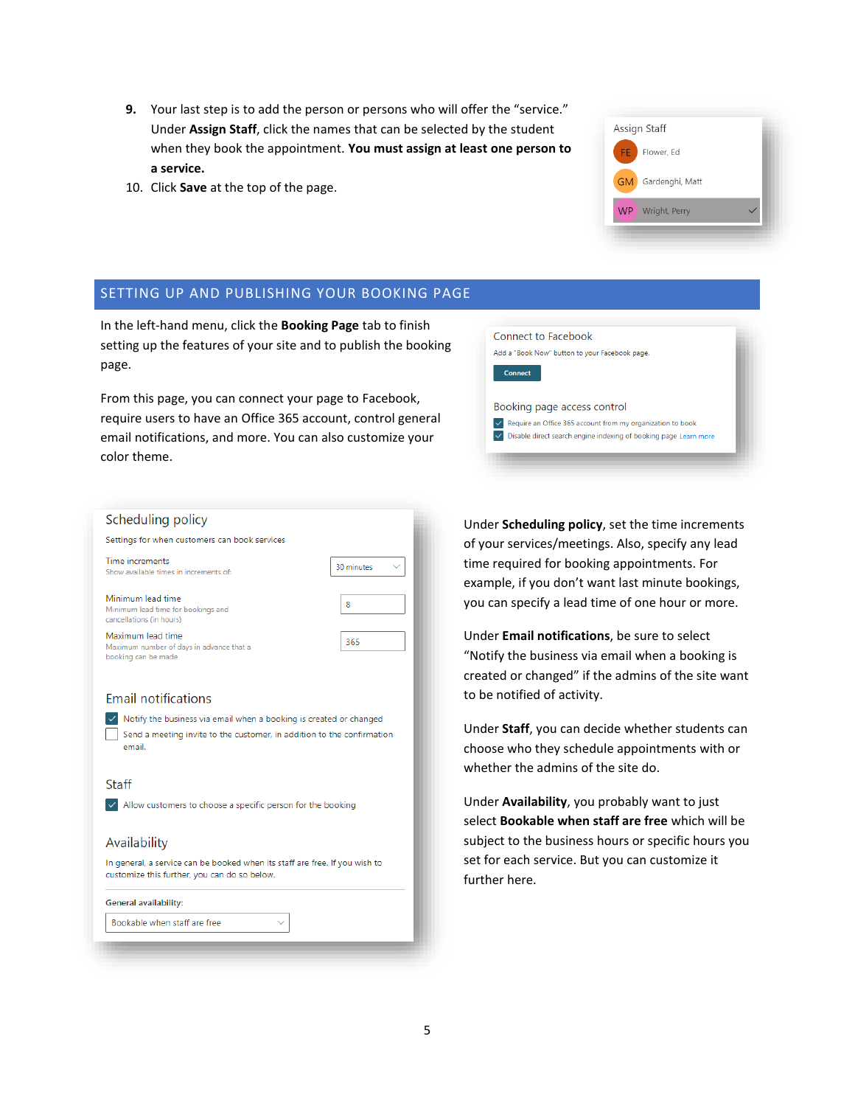- **9.** Your last step is to add the person or persons who will offer the "service." Under **Assign Staff**, click the names that can be selected by the student when they book the appointment. **You must assign at least one person to a service.**
- 10. Click **Save** at the top of the page.

#### SETTING UP AND PUBLISHING YOUR BOOKING PAGE

In the left-hand menu, click the **Booking Page** tab to finish setting up the features of your site and to publish the booking page.

From this page, you can connect your page to Facebook, require users to have an Office 365 account, control general email notifications, and more. You can also customize your color theme.



Assign Staff

Flower, Ed

WP Wright, Perry

Gardenghi, Matt

| Scheduling policy                                                                                                                                      |            |
|--------------------------------------------------------------------------------------------------------------------------------------------------------|------------|
| Settings for when customers can book services                                                                                                          |            |
| Time increments<br>Show available times in increments of:                                                                                              | 30 minutes |
| Minimum lead time<br>Minimum lead time for bookings and<br>cancellations (in hours)                                                                    | 8          |
| Maximum lead time<br>Maximum number of days in advance that a<br>booking can be made                                                                   | 365        |
| <b>Email notifications</b>                                                                                                                             |            |
| Notify the business via email when a booking is created or changed<br>Send a meeting invite to the customer, in addition to the confirmation<br>email. |            |
| Staff                                                                                                                                                  |            |
| Allow customers to choose a specific person for the booking                                                                                            |            |
| Availability                                                                                                                                           |            |
| In general, a service can be booked when its staff are free. If you wish to<br>customize this further, you can do so below.                            |            |
| General availability:                                                                                                                                  |            |
| Bookable when staff are free                                                                                                                           |            |

Under **Scheduling policy**, set the time increments of your services/meetings. Also, specify any lead time required for booking appointments. For example, if you don't want last minute bookings, you can specify a lead time of one hour or more.

Under **Email notifications**, be sure to select "Notify the business via email when a booking is created or changed" if the admins of the site want to be notified of activity.

Under **Staff**, you can decide whether students can choose who they schedule appointments with or whether the admins of the site do.

Under **Availability**, you probably want to just select **Bookable when staff are free** which will be subject to the business hours or specific hours you set for each service. But you can customize it further here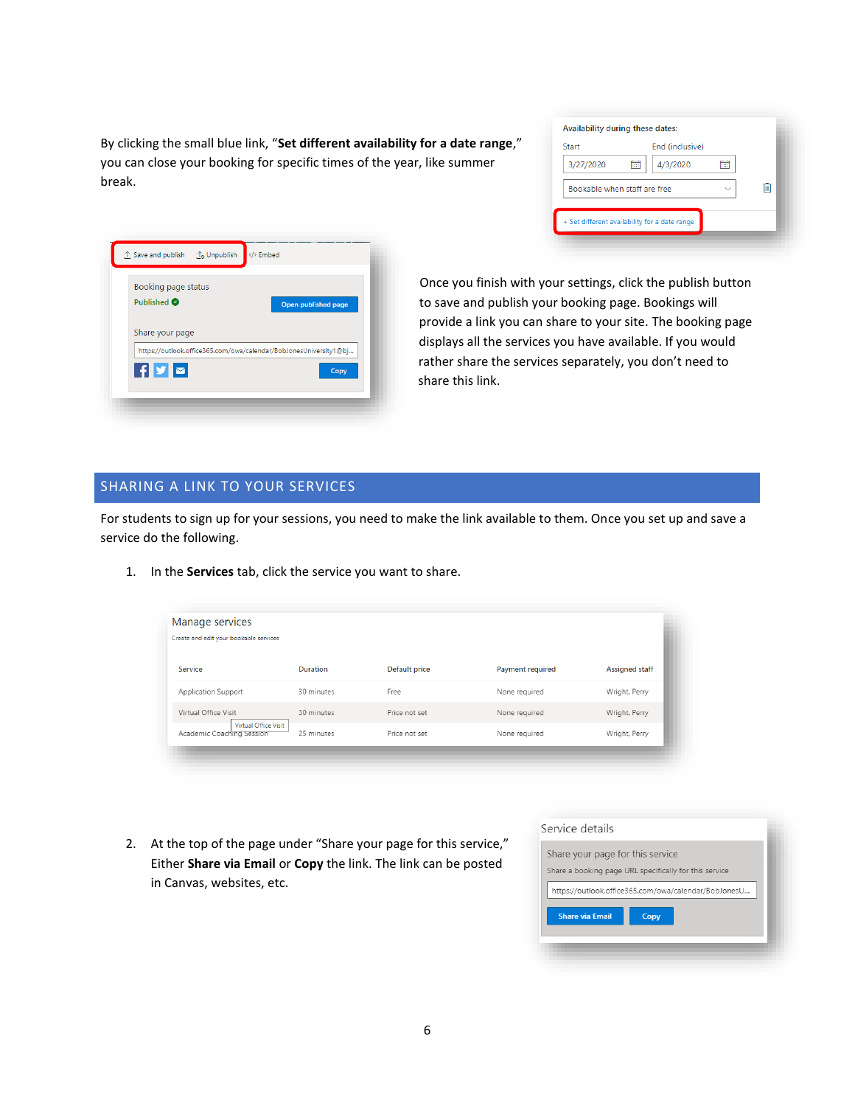By clicking the small blue link, "**Set different availability for a date range**," you can close your booking for specific times of the year, like summer break.

| Availability during these dates:              |                 |   |
|-----------------------------------------------|-----------------|---|
| Start                                         | End (inclusive) |   |
| 3/27/2020<br>繭                                | 4/3/2020        |   |
| Bookable when staff are free                  |                 | Ш |
| + Set different availability for a date range |                 |   |

| Booking page status    |                                                                   |      |
|------------------------|-------------------------------------------------------------------|------|
| Published <sup>O</sup> | Open published page                                               |      |
| Share your page        |                                                                   |      |
|                        |                                                                   |      |
|                        | https://outlook.office365.com/owa/calendar/BobJonesUniversity1@bj |      |
| ▌ <b>作▌Ӯ▌</b>          |                                                                   | Copy |

Once you finish with your settings, click the publish button to save and publish your booking page. Bookings will provide a link you can share to your site. The booking page displays all the services you have available. If you would rather share the services separately, you don't need to share this link.

#### SHARING A LINK TO YOUR SERVICES

For students to sign up for your sessions, you need to make the link available to them. Once you set up and save a service do the following.

1. In the **Services** tab, click the service you want to share.

| Manage services<br>Create and edit your bookable services |                 |                      |                         |                       |
|-----------------------------------------------------------|-----------------|----------------------|-------------------------|-----------------------|
| Service                                                   | <b>Duration</b> | <b>Default price</b> | <b>Payment required</b> | <b>Assigned staff</b> |
| Application Support                                       | 30 minutes      | Free                 | None required           | Wright, Perry         |
| Virtual Office Visit                                      | 30 minutes      | Price not set        | None required           | Wright, Perry         |
| Virtual Office Visit<br>Academic Coaching Session         | 25 minutes      | Price not set        | None required           | Wright, Perry         |

2. At the top of the page under "Share your page for this service," Either **Share via Email** or **Copy** the link. The link can be posted in Canvas, websites, etc.

| Service details                  |                                                        |
|----------------------------------|--------------------------------------------------------|
| Share your page for this service | Share a booking page URL specifically for this service |
|                                  | https://outlook.office365.com/owa/calendar/BobJonesU   |
| <b>Share via Email</b>           | Copy                                                   |
|                                  |                                                        |
|                                  |                                                        |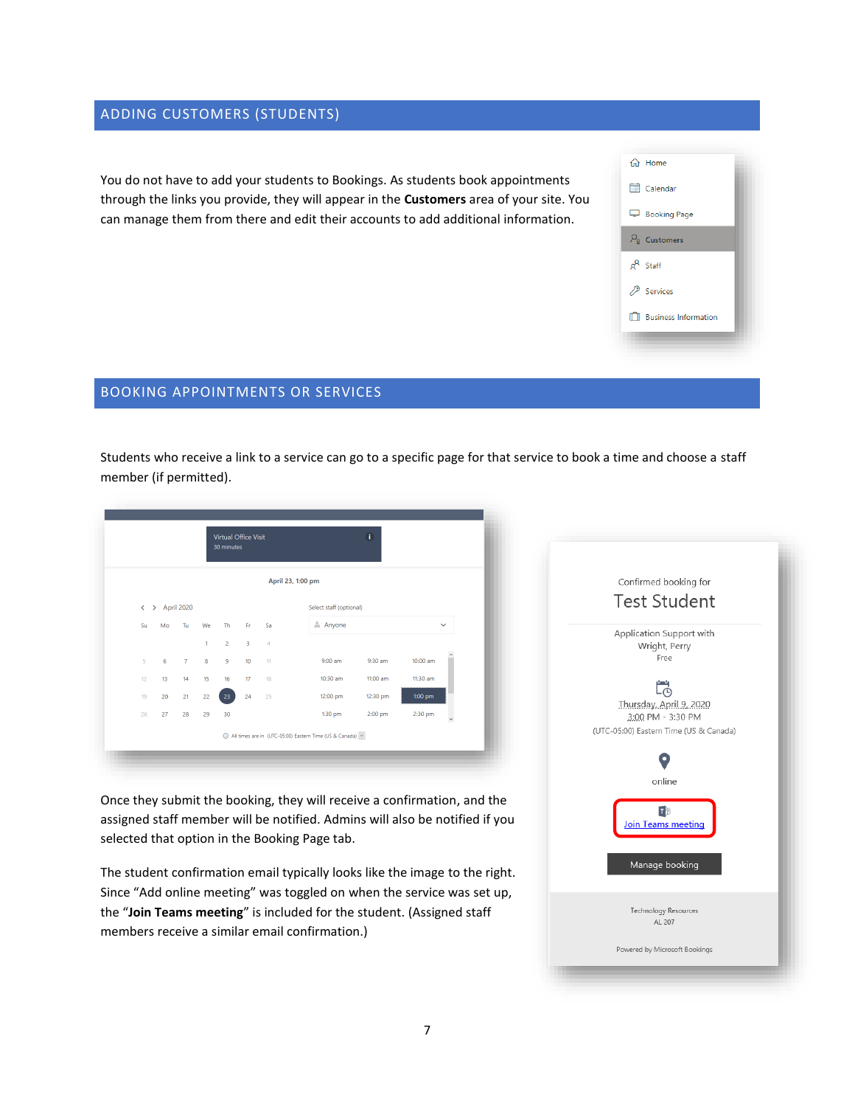# ADDING CUSTOMERS (STUDENTS)

You do not have to add your students to Bookings. As students book appointments through the links you provide, they will appear in the **Customers** area of your site. You can manage them from there and edit their accounts to add additional information.



# BOOKING APPOINTMENTS OR SERVICES

Students who receive a link to a service can go to a specific page for that service to book a time and choose a staff member (if permitted).

|    |    |                              |                | Virtual Office Visit<br>30 minutes |                         |       |                                                             |          |           |              |                                              |
|----|----|------------------------------|----------------|------------------------------------|-------------------------|-------|-------------------------------------------------------------|----------|-----------|--------------|----------------------------------------------|
|    |    |                              |                |                                    |                         |       | April 23, 1:00 pm                                           |          |           |              | Confirmed booking for<br><b>Test Student</b> |
|    |    | $\leftrightarrow$ April 2020 |                |                                    |                         |       | Select staff (optional)                                     |          |           |              |                                              |
| Su | Mo | Tu                           | We             | Th                                 | Fr.                     | -Sa   | Anyone                                                      |          |           | $\checkmark$ | Application Support with                     |
|    |    |                              | $\blacksquare$ | $\overline{2}$                     | $\overline{\mathbf{3}}$ | $-4$  |                                                             |          |           |              | Wright, Perry                                |
| 5  | 6  | $\overline{7}$               | 8              | $\overline{9}$                     | 10                      | $-11$ | $9:00$ am                                                   | 9:30 am  | 10:00 am  |              | Free                                         |
| 12 | 13 | 14                           | 15             | 16                                 | 17                      | 18    | 10:30 am                                                    | 11:00 am | 11:30 am  |              |                                              |
| 19 | 20 | 21                           | 22             | 23                                 | 24                      | 25    | 12:00 pm                                                    | 12:30 pm | $1:00$ pm |              | င်္ငံ                                        |
| 26 | 27 | 28                           | 29             | 30                                 |                         |       | $1:30$ pm                                                   | 2:00 pm  | 2:30 pm   | $\checkmark$ | Thursday, April 9, 2020<br>3:00 PM - 3:30 PM |
|    |    |                              |                |                                    |                         |       | 1 All times are in (UTC-05:00) Eastern Time (US & Canada) v |          |           |              | (UTC-05:00) Eastern Time (US & Canada)       |
|    |    |                              |                |                                    |                         |       |                                                             |          |           |              |                                              |
|    |    |                              |                |                                    |                         |       |                                                             |          |           |              | online                                       |

Once they submit the booking, they will receive a confirmation, and the assigned staff member will be notified. Admins will also be notified if you selected that option in the Booking Page tab.

The student confirmation email typically looks like the image to the right. Since "Add online meeting" was toggled on when the service was set up, the "**Join Teams meeting**" is included for the student. (Assigned staff members receive a similar email confirmation.)

| Confirmed booking for<br><b>Test Student</b>                                                   |  |
|------------------------------------------------------------------------------------------------|--|
| Application Support with<br>Wright, Perry<br>Free                                              |  |
| င်္ဂ<br>Thursday, April 9, 2020<br>3:00 PM - 3:30 PM<br>(UTC-05:00) Eastern Time (US & Canada) |  |
| online                                                                                         |  |
| Join Teams meeting                                                                             |  |
| Manage booking                                                                                 |  |
| <b>Technology Resources</b><br>AL 207                                                          |  |
| Powered by Microsoft Bookings                                                                  |  |